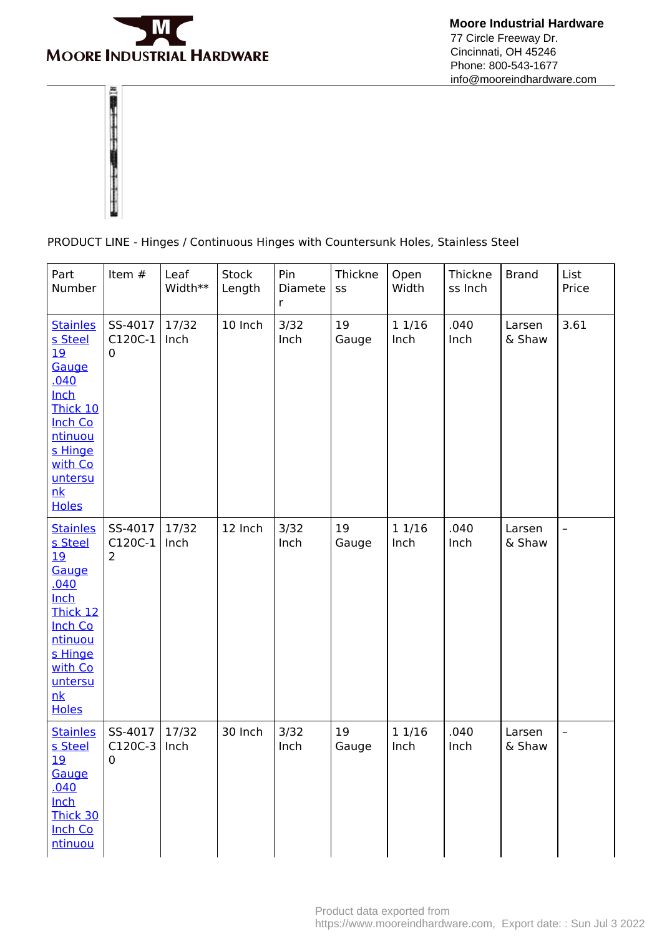

 **Moore Industrial Hardware** 77 Circle Freeway Dr. Cincinnati, OH 45246 Phone: 800-543-1677 info@mooreindhardware.com



PRODUCT LINE - Hinges / Continuous Hinges with Countersunk Holes, Stainless Steel

| Part<br>Number                                                                                                                                                   | Item #                               | Leaf<br>Width** | Stock<br>Length | Pin<br>Diamete<br>r | Thickne<br>SS | Open<br>Width  | Thickne<br>ss Inch | <b>Brand</b>     | List<br>Price  |
|------------------------------------------------------------------------------------------------------------------------------------------------------------------|--------------------------------------|-----------------|-----------------|---------------------|---------------|----------------|--------------------|------------------|----------------|
| <b>Stainles</b><br>s Steel<br><u>19</u><br>Gauge<br>.040<br>Inch<br>Thick 10<br><b>Inch Co</b><br>ntinuou<br>s Hinge<br>with Co<br>untersu<br>nk<br><b>Holes</b> | SS-4017<br>C120C-1<br>0              | 17/32<br>Inch   | 10 Inch         | 3/32<br>Inch        | 19<br>Gauge   | 1 1/16<br>Inch | .040<br>Inch       | Larsen<br>& Shaw | 3.61           |
| <b>Stainles</b><br>s Steel<br>19<br>Gauge<br>.040<br>Inch<br>Thick 12<br><b>Inch Co</b><br>ntinuou<br>s Hinge<br>with Co<br>untersu<br>nk<br><b>Holes</b>        | SS-4017<br>C120C-1<br>$\overline{2}$ | 17/32<br>Inch   | 12 Inch         | 3/32<br>Inch        | 19<br>Gauge   | 11/16<br>Inch  | .040<br>Inch       | Larsen<br>& Shaw | $\overline{a}$ |
| <b>Stainles</b><br>s Steel<br><u>19</u><br>Gauge<br>.040<br><b>Inch</b><br>Thick 30<br><b>Inch Co</b><br>ntinuou                                                 | SS-4017<br>C120C-3<br>$\overline{0}$ | 17/32<br>Inch   | 30 Inch         | 3/32<br>Inch        | 19<br>Gauge   | 11/16<br>Inch  | .040<br>Inch       | Larsen<br>& Shaw | -              |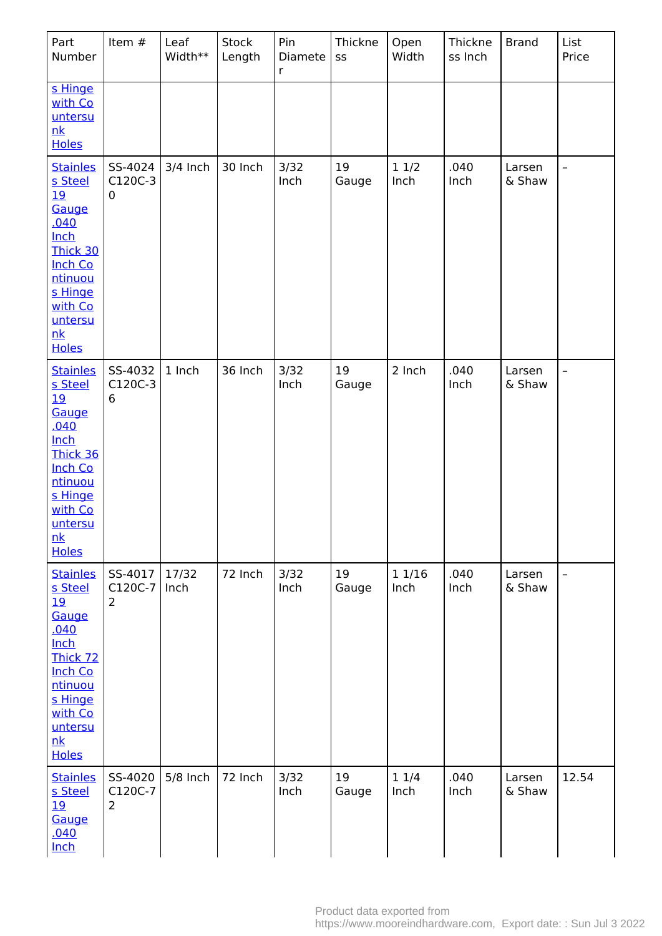| Part<br>Number                                                                                                                                                                 | Item #                               | Leaf<br>Width** | Stock<br>Length | Pin<br>Diamete<br>$\mathsf{r}$ | Thickne<br>SS | Open<br>Width | Thickne<br>ss Inch | <b>Brand</b>     | List<br>Price            |
|--------------------------------------------------------------------------------------------------------------------------------------------------------------------------------|--------------------------------------|-----------------|-----------------|--------------------------------|---------------|---------------|--------------------|------------------|--------------------------|
| s Hinge<br>with Co<br>untersu<br>nk<br><b>Holes</b>                                                                                                                            |                                      |                 |                 |                                |               |               |                    |                  |                          |
| <b>Stainles</b><br>s Steel<br><b>19</b><br>Gauge<br><u>.040</u><br><b>Inch</b><br>Thick 30<br><b>Inch Co</b><br>ntinuou<br>s Hinge<br>with Co<br>untersu<br>nk<br><b>Holes</b> | SS-4024<br>C120C-3<br>$\mathbf 0$    | 3/4 Inch        | 30 Inch         | 3/32<br>Inch                   | 19<br>Gauge   | 11/2<br>Inch  | .040<br>Inch       | Larsen<br>& Shaw | $\overline{\phantom{0}}$ |
| <b>Stainles</b><br>s Steel<br>19<br>Gauge<br>.040<br><b>Inch</b><br>Thick 36<br><b>Inch Co</b><br>ntinuou<br>s Hinge<br>with Co<br>untersu<br>nk<br><b>Holes</b>               | SS-4032<br>C120C-3<br>6              | 1 Inch          | 36 Inch         | 3/32<br>Inch                   | 19<br>Gauge   | 2 Inch        | .040<br>Inch       | Larsen<br>& Shaw | $\overline{a}$           |
| <b>Stainles</b><br>s Steel<br><u>19</u><br>Gauge<br>.040<br><b>Inch</b><br>Thick 72<br><b>Inch Co</b><br>ntinuou<br>s Hinge<br>with Co<br>untersu<br>nk<br><b>Holes</b>        | SS-4017<br>C120C-7<br>$\overline{2}$ | 17/32<br>Inch   | 72 Inch         | 3/32<br>Inch                   | 19<br>Gauge   | 11/16<br>Inch | .040<br>Inch       | Larsen<br>& Shaw | $\overline{\phantom{0}}$ |
| <b>Stainles</b><br>s Steel<br>19<br>Gauge<br><u>.040</u><br>Inch                                                                                                               | SS-4020<br>C120C-7<br>$\overline{2}$ | 5/8 Inch        | 72 Inch         | 3/32<br>Inch                   | 19<br>Gauge   | 11/4<br>Inch  | .040<br>Inch       | Larsen<br>& Shaw | 12.54                    |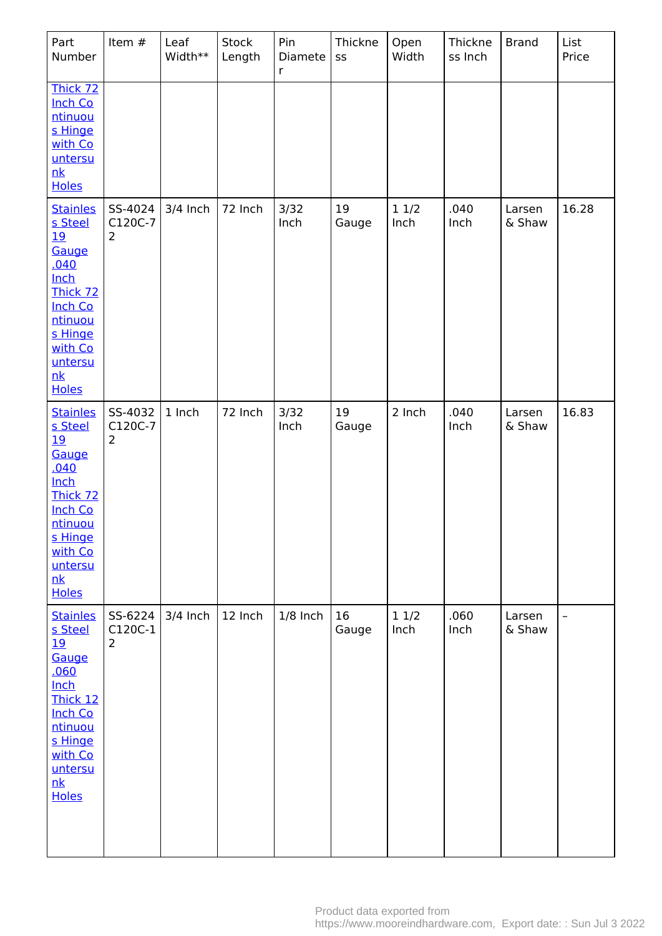| Part<br>Number                                                                                                                                                           | Item #                               | Leaf<br>Width** | Stock<br>Length | Pin<br>Diamete<br>$\mathsf{r}$ | Thickne<br>SS | Open<br>Width  | Thickne<br>ss Inch | <b>Brand</b>     | List<br>Price            |
|--------------------------------------------------------------------------------------------------------------------------------------------------------------------------|--------------------------------------|-----------------|-----------------|--------------------------------|---------------|----------------|--------------------|------------------|--------------------------|
| Thick 72<br><b>Inch Co</b><br>ntinuou<br>s Hinge<br>with Co<br>untersu<br>nk<br><b>Holes</b>                                                                             |                                      |                 |                 |                                |               |                |                    |                  |                          |
| <b>Stainles</b><br>s Steel<br><u>19</u><br>Gauge<br>.040<br><b>Inch</b><br>Thick 72<br><b>Inch Co</b><br>ntinuou<br>s Hinge<br>with Co<br>untersu<br>nk<br><b>Holes</b>  | SS-4024<br>C120C-7<br>$\overline{2}$ | 3/4 Inch        | 72 Inch         | 3/32<br>Inch                   | 19<br>Gauge   | 11/2<br>Inch   | .040<br>Inch       | Larsen<br>& Shaw | 16.28                    |
| <b>Stainles</b><br>s Steel<br><u> 19</u><br>Gauge<br>.040<br>Inch<br>Thick 72<br>Inch Co<br>ntinuou<br>s Hinge<br>with Co<br>untersu<br>nk<br><b>Holes</b>               | SS-4032<br>C120C-7<br>$\overline{2}$ | 1 Inch          | 72 Inch         | 3/32<br>Inch                   | 19<br>Gauge   | 2 Inch         | .040<br>Inch       | Larsen<br>& Shaw | 16.83                    |
| <b>Stainles</b><br>s Steel<br><u> 19</u><br>Gauge<br>.060<br><b>Inch</b><br>Thick 12<br><b>Inch Co</b><br>ntinuou<br>s Hinge<br>with Co<br>untersu<br>nk<br><b>Holes</b> | SS-6224<br>C120C-1<br>$\overline{2}$ | $3/4$ Inch      | 12 Inch         | $1/8$ Inch                     | 16<br>Gauge   | $11/2$<br>Inch | .060<br>Inch       | Larsen<br>& Shaw | $\overline{\phantom{0}}$ |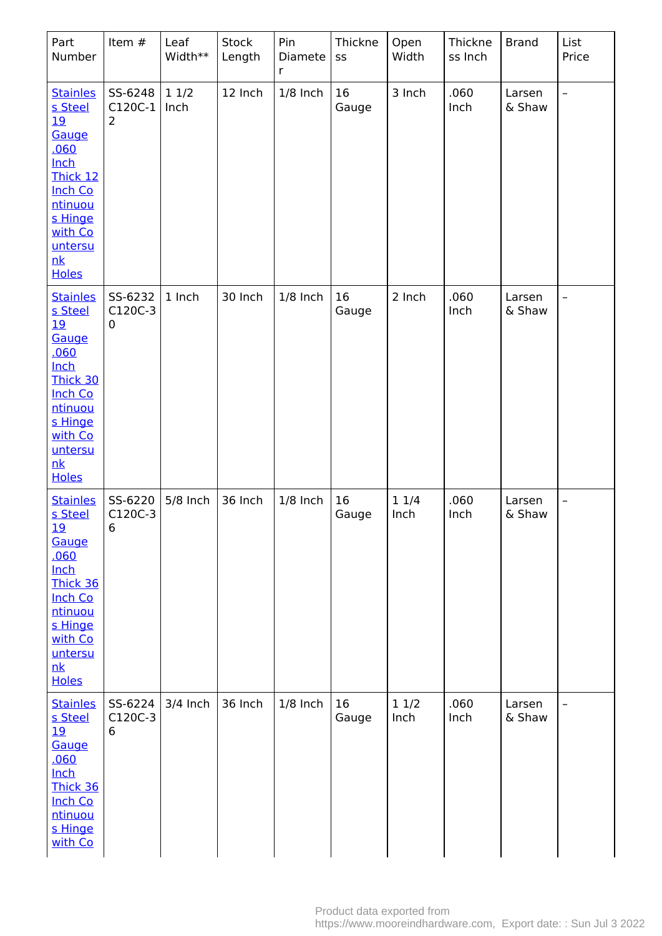| Part<br>Number                                                                                                                                                                  | Item #                                 | Leaf<br>Width** | <b>Stock</b><br>Length | Pin<br>Diamete<br>r | Thickne<br>SS | Open<br>Width | Thickne<br>ss Inch | <b>Brand</b>     | List<br>Price            |
|---------------------------------------------------------------------------------------------------------------------------------------------------------------------------------|----------------------------------------|-----------------|------------------------|---------------------|---------------|---------------|--------------------|------------------|--------------------------|
| <b>Stainles</b><br>s Steel<br><u> 19</u><br>Gauge<br>.060<br>Inch<br>Thick 12<br><b>Inch Co</b><br>ntinuou<br>s Hinge<br>with Co<br>untersu<br>nk<br><b>Holes</b>               | SS-6248<br>$C120C-1$<br>$\overline{2}$ | 11/2<br>Inch    | 12 Inch                | $1/8$ Inch          | 16<br>Gauge   | 3 Inch        | .060<br>Inch       | Larsen<br>& Shaw | $\overline{\phantom{a}}$ |
| <b>Stainles</b><br>s Steel<br><u> 19</u><br>Gauge<br><u>.060</u><br><b>Inch</b><br>Thick 30<br><b>Inch Co</b><br>ntinuou<br>s Hinge<br>with Co<br>untersu<br>nk<br><b>Holes</b> | SS-6232<br>C120C-3<br>0                | 1 Inch          | 30 Inch                | $1/8$ Inch          | 16<br>Gauge   | 2 Inch        | .060<br>Inch       | Larsen<br>& Shaw | -                        |
| <b>Stainles</b><br>s Steel<br><u>19</u><br>Gauge<br><u>.060</u><br><b>Inch</b><br>Thick 36<br><b>Inch Co</b><br>ntinuou<br>s Hinge<br>with Co<br>untersu<br>nk<br><b>Holes</b>  | SS-6220<br>C120C-3<br>$6\overline{6}$  | 5/8 Inch        | 36 Inch                | $1/8$ Inch          | 16<br>Gauge   | 11/4<br>Inch  | .060<br>Inch       | Larsen<br>& Shaw | $\overline{\phantom{a}}$ |
| <b>Stainles</b><br>s Steel<br><u>19</u><br>Gauge<br>.060<br><b>Inch</b><br>Thick 36<br>Inch Co<br>ntinuou<br>s Hinge<br>with Co                                                 | SS-6224<br>C120C-3<br>6                | 3/4 Inch        | 36 Inch                | $1/8$ Inch          | 16<br>Gauge   | 11/2<br>Inch  | .060<br>Inch       | Larsen<br>& Shaw |                          |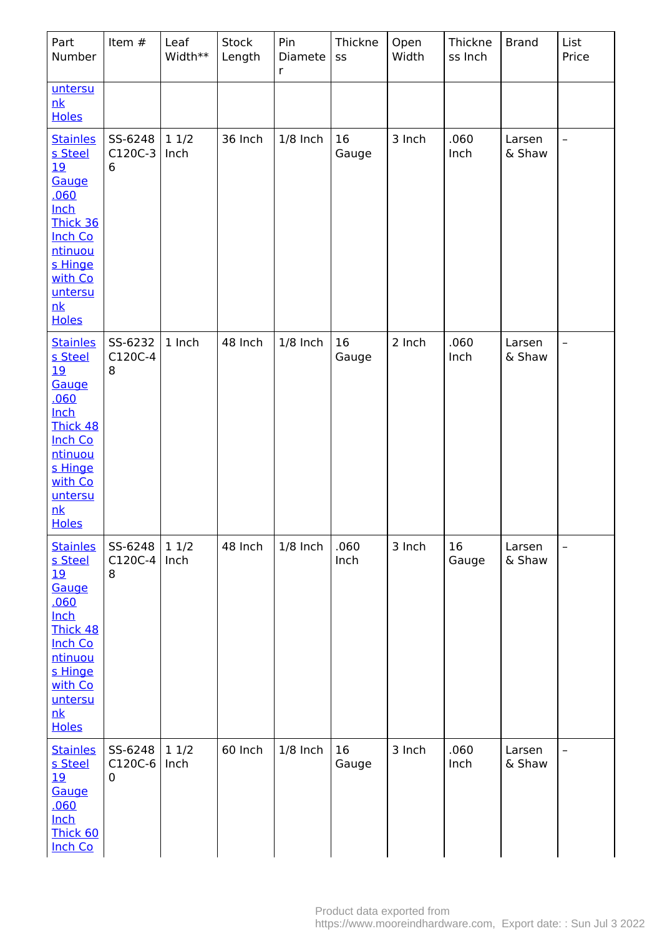| Part<br>Number                                                                                                                                                                  | Item #                    | Leaf<br>Width** | <b>Stock</b><br>Length | Pin<br>Diamete<br>$\mathsf{r}$ | Thickne<br>SS | Open<br>Width | Thickne<br>ss Inch | <b>Brand</b>     | List<br>Price            |
|---------------------------------------------------------------------------------------------------------------------------------------------------------------------------------|---------------------------|-----------------|------------------------|--------------------------------|---------------|---------------|--------------------|------------------|--------------------------|
| untersu<br>nk<br><b>Holes</b>                                                                                                                                                   |                           |                 |                        |                                |               |               |                    |                  |                          |
| <b>Stainles</b><br>s Steel<br><u>19</u><br>Gauge<br>.060<br><b>Inch</b><br>Thick 36<br>Inch Co<br>ntinuou<br>s Hinge<br>with Co<br>untersu<br>nk<br><b>Holes</b>                | SS-6248<br>$C120C-3$<br>6 | 11/2<br>Inch    | 36 Inch                | $1/8$ Inch                     | 16<br>Gauge   | 3 Inch        | .060<br>Inch       | Larsen<br>& Shaw | $\overline{\phantom{0}}$ |
| <b>Stainles</b><br>s Steel<br><u> 19</u><br>Gauge<br>.060<br><b>Inch</b><br><b>Thick 48</b><br><b>Inch Co</b><br>ntinuou<br>s Hinge<br>with Co<br>untersu<br>nk<br><b>Holes</b> | SS-6232<br>C120C-4<br>8   | 1 Inch          | 48 Inch                | $1/8$ Inch                     | 16<br>Gauge   | 2 Inch        | .060<br>Inch       | Larsen<br>& Shaw | $\overline{\phantom{0}}$ |
| <b>Stainles</b><br>s Steel<br><u> 19</u><br>Gauge<br>.060<br>Inch<br>Thick 48<br><b>Inch Co</b><br>ntinuou<br>s Hinge<br>with Co<br>untersu<br>nk<br><b>Holes</b>               | SS-6248<br>$C120C-4$<br>8 | 11/2<br>Inch    | 48 Inch                | $1/8$ Inch                     | .060<br>Inch  | 3 Inch        | 16<br>Gauge        | Larsen<br>& Shaw |                          |
| <b>Stainles</b><br>s Steel<br><u>19</u><br>Gauge<br><u>.060</u><br><b>Inch</b><br>Thick 60<br><b>Inch Co</b>                                                                    | SS-6248<br>$C120C-6$<br>0 | 11/2<br>Inch    | 60 Inch                | $1/8$ Inch                     | 16<br>Gauge   | 3 Inch        | .060<br>Inch       | Larsen<br>& Shaw |                          |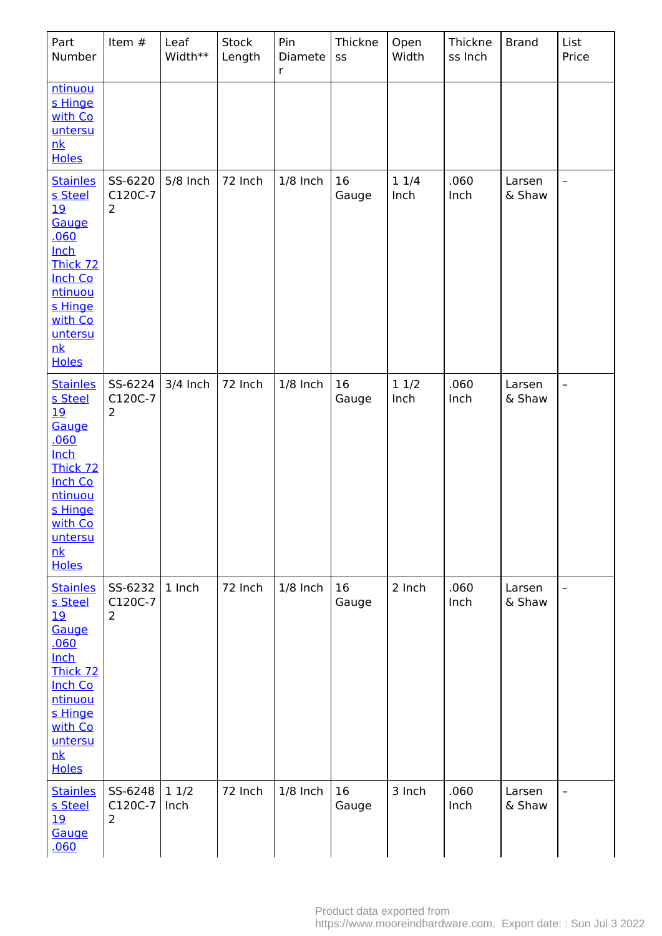| Part<br>Number                                                                                                                                                                  | Item #                               | Leaf<br>Width** | Stock<br>Length | Pin<br>Diamete<br>$\mathsf{r}$ | Thickne<br>SS | Open<br>Width | Thickne<br>ss Inch | <b>Brand</b>     | List<br>Price            |
|---------------------------------------------------------------------------------------------------------------------------------------------------------------------------------|--------------------------------------|-----------------|-----------------|--------------------------------|---------------|---------------|--------------------|------------------|--------------------------|
| <u>ntinuou</u><br>s Hinge<br>with Co<br>untersu<br>nk<br><b>Holes</b>                                                                                                           |                                      |                 |                 |                                |               |               |                    |                  |                          |
| <b>Stainles</b><br>s Steel<br><u> 19</u><br>Gauge<br><u>.060</u><br><b>Inch</b><br>Thick 72<br><b>Inch Co</b><br>ntinuou<br>s Hinge<br>with Co<br>untersu<br>nk<br><b>Holes</b> | SS-6220<br>C120C-7<br>$\overline{2}$ | 5/8 Inch        | 72 Inch         | $1/8$ Inch                     | 16<br>Gauge   | 11/4<br>Inch  | .060<br>Inch       | Larsen<br>& Shaw | $\overline{\phantom{0}}$ |
| <b>Stainles</b><br>s Steel<br>19<br>Gauge<br><u>.060</u><br><b>Inch</b><br>Thick 72<br><b>Inch Co</b><br>ntinuou<br>s Hinge<br>with Co<br>untersu<br>nk<br><b>Holes</b>         | SS-6224<br>C120C-7<br>2              | $3/4$ Inch      | 72 Inch         | $1/8$ Inch                     | 16<br>Gauge   | 11/2<br>Inch  | .060<br>Inch       | Larsen<br>& Shaw | $\qquad \qquad -$        |
| <b>Stainles</b><br>s Steel<br><u>19</u><br>Gauge<br><u>.060</u><br><b>Inch</b><br>Thick 72<br><b>Inch Co</b><br>ntinuou<br>s Hinge<br>with Co<br>untersu<br>nk<br><b>Holes</b>  | SS-6232<br>C120C-7<br>$\overline{2}$ | 1 Inch          | 72 Inch         | $1/8$ Inch                     | 16<br>Gauge   | 2 Inch        | .060<br>Inch       | Larsen<br>& Shaw | $\overline{\phantom{0}}$ |
| <b>Stainles</b><br>s Steel<br><u>19</u><br>Gauge<br><u>.060</u>                                                                                                                 | SS-6248<br>C120C-7<br>2              | 11/2<br>Inch    | 72 Inch         | $1/8$ Inch                     | 16<br>Gauge   | 3 Inch        | .060<br>Inch       | Larsen<br>& Shaw | $\qquad \qquad$          |